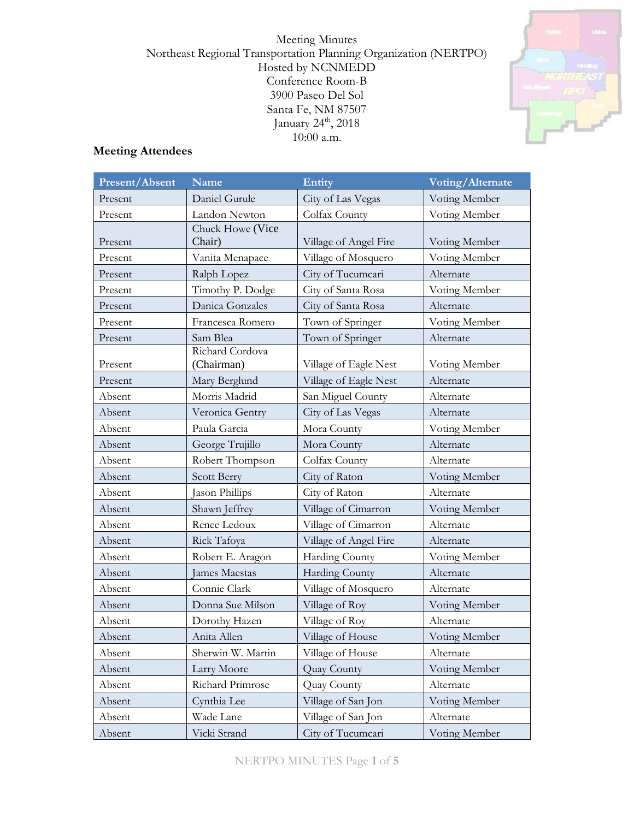Meeting Minutes Northeast Regional Transportation Planning Organization (NERTPO) Hosted by NCNMEDD Conference Room-B 3900 Paseo Del Sol Santa Fe, NM 87507 January 24<sup>th</sup>, 2018 10:00 a.m.



## **Meeting Attendees**

| Present/Absent | <b>Name</b>                   | Entity                | Voting/Alternate |
|----------------|-------------------------------|-----------------------|------------------|
| Present        | Daniel Gurule                 | City of Las Vegas     | Voting Member    |
| Present        | Landon Newton                 | Colfax County         | Voting Member    |
| Present        | Chuck Howe (Vice<br>Chair)    | Village of Angel Fire | Voting Member    |
| Present        | Vanita Menapace               | Village of Mosquero   | Voting Member    |
| Present        | Ralph Lopez                   | City of Tucumcari     | Alternate        |
| Present        | Timothy P. Dodge              | City of Santa Rosa    | Voting Member    |
| Present        | Danica Gonzales               | City of Santa Rosa    | Alternate        |
| Present        | Francesca Romero              | Town of Springer      | Voting Member    |
| Present        | Sam Blea                      | Town of Springer      | Alternate        |
| Present        | Richard Cordova<br>(Chairman) | Village of Eagle Nest | Voting Member    |
| Present        | Mary Berglund                 | Village of Eagle Nest | Alternate        |
| Absent         | Morris Madrid                 | San Miguel County     | Alternate        |
| Absent         | Veronica Gentry               | City of Las Vegas     | Alternate        |
| Absent         | Paula Garcia                  | Mora County           | Voting Member    |
| Absent         | George Trujillo               | Mora County           | Alternate        |
| Absent         | Robert Thompson               | Colfax County         | Alternate        |
| Absent         | Scott Berry                   | City of Raton         | Voting Member    |
| Absent         | Jason Phillips                | City of Raton         | Alternate        |
| Absent         | Shawn Jeffrey                 | Village of Cimarron   | Voting Member    |
| Absent         | Renee Ledoux                  | Village of Cimarron   | Alternate        |
| Absent         | Rick Tafoya                   | Village of Angel Fire | Alternate        |
| Absent         | Robert E. Aragon              | Harding County        | Voting Member    |
| Absent         | James Maestas                 | Harding County        | Alternate        |
| Absent         | Connie Clark                  | Village of Mosquero   | Alternate        |
| Absent         | Donna Sue Milson              | Village of Roy        | Voting Member    |
| Absent         | Dorothy Hazen                 | Village of Roy        | Alternate        |
| Absent         | Anita Allen                   | Village of House      | Voting Member    |
| Absent         | Sherwin W. Martin             | Village of House      | Alternate        |
| Absent         | Larry Moore                   | Quay County           | Voting Member    |
| Absent         | Richard Primrose              | Quay County           | Alternate        |
| Absent         | Cynthia Lee                   | Village of San Jon    | Voting Member    |
| Absent         | Wade Lane                     | Village of San Jon    | Alternate        |
| Absent         | Vicki Strand                  | City of Tucumcari     | Voting Member    |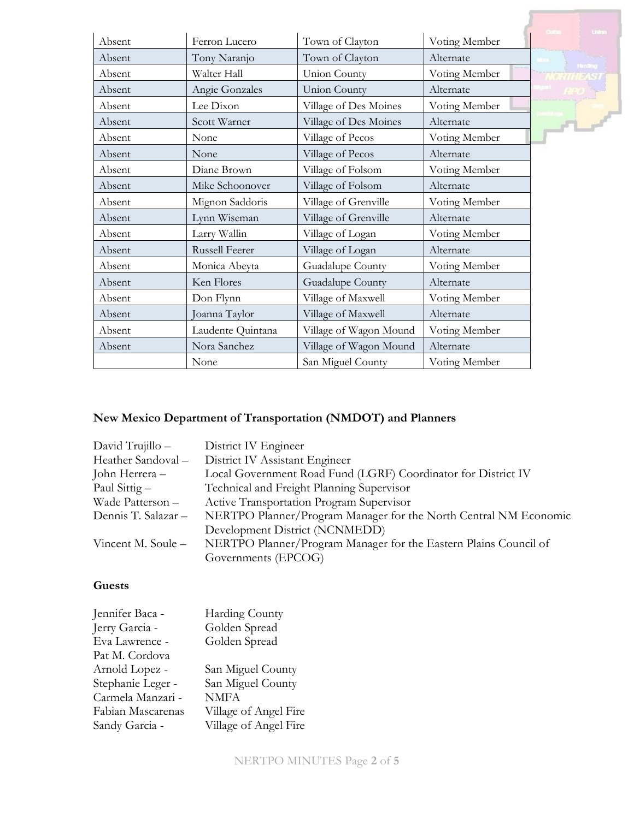|        |                   |                        |               | United          |
|--------|-------------------|------------------------|---------------|-----------------|
| Absent | Ferron Lucero     | Town of Clayton        | Voting Member |                 |
| Absent | Tony Naranjo      | Town of Clayton        | Alternate     | <b>Thinking</b> |
| Absent | Walter Hall       | Union County           | Voting Member |                 |
| Absent | Angie Gonzales    | <b>Union County</b>    | Alternate     |                 |
| Absent | Lee Dixon         | Village of Des Moines  | Voting Member |                 |
| Absent | Scott Warner      | Village of Des Moines  | Alternate     |                 |
| Absent | None              | Village of Pecos       | Voting Member |                 |
| Absent | None              | Village of Pecos       | Alternate     |                 |
| Absent | Diane Brown       | Village of Folsom      | Voting Member |                 |
| Absent | Mike Schoonover   | Village of Folsom      | Alternate     |                 |
| Absent | Mignon Saddoris   | Village of Grenville   | Voting Member |                 |
| Absent | Lynn Wiseman      | Village of Grenville   | Alternate     |                 |
| Absent | Larry Wallin      | Village of Logan       | Voting Member |                 |
| Absent | Russell Feerer    | Village of Logan       | Alternate     |                 |
| Absent | Monica Abeyta     | Guadalupe County       | Voting Member |                 |
| Absent | Ken Flores        | Guadalupe County       | Alternate     |                 |
| Absent | Don Flynn         | Village of Maxwell     | Voting Member |                 |
| Absent | Joanna Taylor     | Village of Maxwell     | Alternate     |                 |
| Absent | Laudente Quintana | Village of Wagon Mound | Voting Member |                 |
| Absent | Nora Sanchez      | Village of Wagon Mound | Alternate     |                 |
|        | None              | San Miguel County      | Voting Member |                 |

# **New Mexico Department of Transportation (NMDOT) and Planners**

| David Trujillo -    | District IV Engineer                                             |
|---------------------|------------------------------------------------------------------|
| Heather Sandoval -  | District IV Assistant Engineer                                   |
| John Herrera -      | Local Government Road Fund (LGRF) Coordinator for District IV    |
| Paul Sittig $-$     | Technical and Freight Planning Supervisor                        |
| Wade Patterson -    | Active Transportation Program Supervisor                         |
| Dennis T. Salazar - | NERTPO Planner/Program Manager for the North Central NM Economic |
|                     | Development District (NCNMEDD)                                   |
| Vincent M. Soule -  | NERTPO Planner/Program Manager for the Eastern Plains Council of |
|                     | Governments (EPCOG)                                              |
|                     |                                                                  |

## **Guests**

| Jennifer Baca -   | Harding County        |
|-------------------|-----------------------|
| Jerry Garcia -    | Golden Spread         |
| Eva Lawrence -    | Golden Spread         |
| Pat M. Cordova    |                       |
| Arnold Lopez -    | San Miguel County     |
| Stephanie Leger - | San Miguel County     |
| Carmela Manzari - | <b>NMFA</b>           |
| Fabian Mascarenas | Village of Angel Fire |
| Sandy Garcia -    | Village of Angel Fire |
|                   |                       |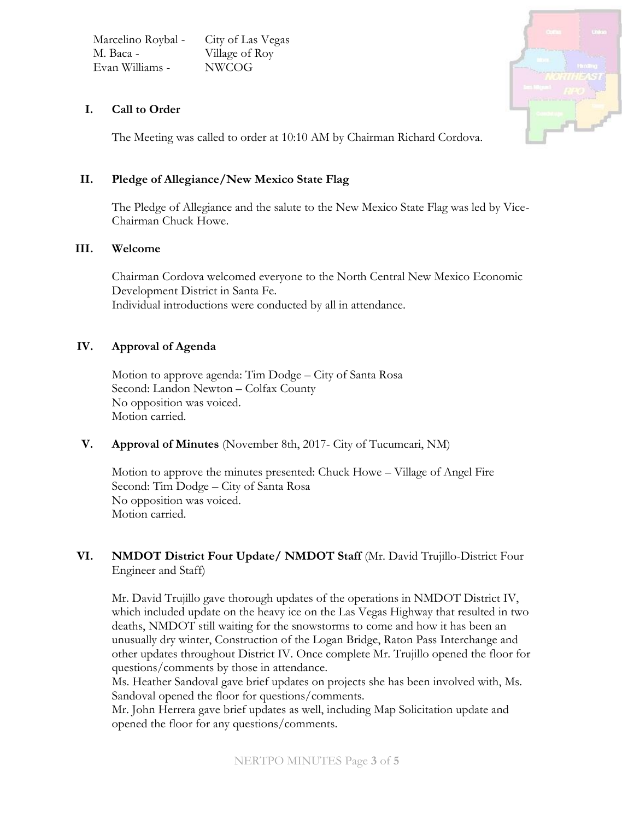| Marcelino Roybal - | City of Las Vegas |
|--------------------|-------------------|
| M. Baca -          | Village of Roy    |
| Evan Williams -    | <b>NWCOG</b>      |



## **I. Call to Order**

The Meeting was called to order at 10:10 AM by Chairman Richard Cordova.

## **II. Pledge of Allegiance/New Mexico State Flag**

The Pledge of Allegiance and the salute to the New Mexico State Flag was led by Vice-Chairman Chuck Howe.

#### **III. Welcome**

Chairman Cordova welcomed everyone to the North Central New Mexico Economic Development District in Santa Fe. Individual introductions were conducted by all in attendance.

## **IV. Approval of Agenda**

Motion to approve agenda: Tim Dodge – City of Santa Rosa Second: Landon Newton – Colfax County No opposition was voiced. Motion carried.

#### **V. Approval of Minutes** (November 8th, 2017- City of Tucumcari, NM)

Motion to approve the minutes presented: Chuck Howe – Village of Angel Fire Second: Tim Dodge – City of Santa Rosa No opposition was voiced. Motion carried.

## **VI. NMDOT District Four Update/ NMDOT Staff** (Mr. David Trujillo-District Four Engineer and Staff)

Mr. David Trujillo gave thorough updates of the operations in NMDOT District IV, which included update on the heavy ice on the Las Vegas Highway that resulted in two deaths, NMDOT still waiting for the snowstorms to come and how it has been an unusually dry winter, Construction of the Logan Bridge, Raton Pass Interchange and other updates throughout District IV. Once complete Mr. Trujillo opened the floor for questions/comments by those in attendance.

Ms. Heather Sandoval gave brief updates on projects she has been involved with, Ms. Sandoval opened the floor for questions/comments.

Mr. John Herrera gave brief updates as well, including Map Solicitation update and opened the floor for any questions/comments.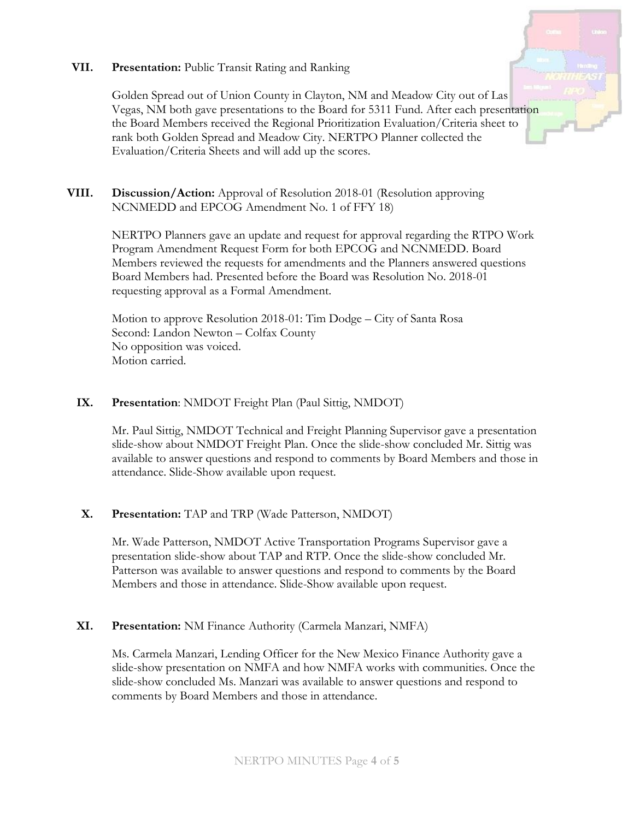### **VII. Presentation:** Public Transit Rating and Ranking



Golden Spread out of Union County in Clayton, NM and Meadow City out of Las Vegas, NM both gave presentations to the Board for 5311 Fund. After each presentation the Board Members received the Regional Prioritization Evaluation/Criteria sheet to rank both Golden Spread and Meadow City. NERTPO Planner collected the Evaluation/Criteria Sheets and will add up the scores.

## **VIII. Discussion/Action:** Approval of Resolution 2018-01 (Resolution approving NCNMEDD and EPCOG Amendment No. 1 of FFY 18)

NERTPO Planners gave an update and request for approval regarding the RTPO Work Program Amendment Request Form for both EPCOG and NCNMEDD. Board Members reviewed the requests for amendments and the Planners answered questions Board Members had. Presented before the Board was Resolution No. 2018-01 requesting approval as a Formal Amendment.

Motion to approve Resolution 2018-01: Tim Dodge – City of Santa Rosa Second: Landon Newton – Colfax County No opposition was voiced. Motion carried.

## **IX. Presentation**: NMDOT Freight Plan (Paul Sittig, NMDOT)

Mr. Paul Sittig, NMDOT Technical and Freight Planning Supervisor gave a presentation slide-show about NMDOT Freight Plan. Once the slide-show concluded Mr. Sittig was available to answer questions and respond to comments by Board Members and those in attendance. Slide-Show available upon request.

## **X. Presentation:** TAP and TRP (Wade Patterson, NMDOT)

Mr. Wade Patterson, NMDOT Active Transportation Programs Supervisor gave a presentation slide-show about TAP and RTP. Once the slide-show concluded Mr. Patterson was available to answer questions and respond to comments by the Board Members and those in attendance. Slide-Show available upon request.

## **XI. Presentation:** NM Finance Authority (Carmela Manzari, NMFA)

Ms. Carmela Manzari, Lending Officer for the New Mexico Finance Authority gave a slide-show presentation on NMFA and how NMFA works with communities. Once the slide-show concluded Ms. Manzari was available to answer questions and respond to comments by Board Members and those in attendance.